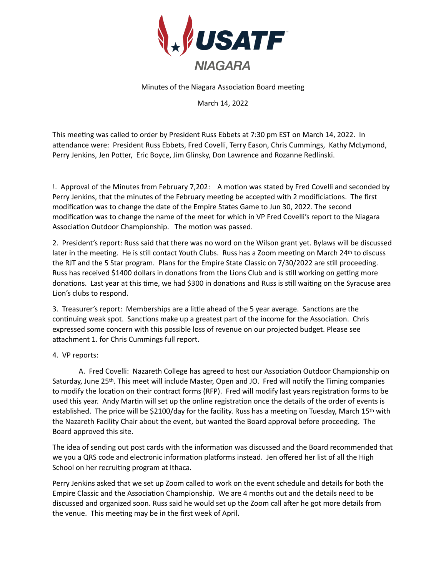

Minutes of the Niagara Association Board meeting

March 14, 2022

This meeting was called to order by President Russ Ebbets at 7:30 pm EST on March 14, 2022. In attendance were: President Russ Ebbets, Fred Covelli, Terry Eason, Chris Cummings, Kathy McLymond, Perry Jenkins, Jen Potter, Eric Boyce, Jim Glinsky, Don Lawrence and Rozanne Redlinski.

!. Approval of the Minutes from February 7,202: A motion was stated by Fred Covelli and seconded by Perry Jenkins, that the minutes of the February meeting be accepted with 2 modificiations. The first modification was to change the date of the Empire States Game to Jun 30, 2022. The second modification was to change the name of the meet for which in VP Fred Covelli's report to the Niagara Association Outdoor Championship. The motion was passed.

2. President's report: Russ said that there was no word on the Wilson grant yet. Bylaws will be discussed later in the meeting. He is still contact Youth Clubs. Russ has a Zoom meeting on March 24th to discuss the RJT and the 5 Star program. Plans for the Empire State Classic on 7/30/2022 are still proceeding. Russ has received \$1400 dollars in donations from the Lions Club and is still working on getting more donations. Last year at this time, we had \$300 in donations and Russ is still waiting on the Syracuse area Lion's clubs to respond.

3. Treasurer's report: Memberships are a little ahead of the 5 year average. Sanctions are the continuing weak spot. Sanctions make up a greatest part of the income for the Association. Chris expressed some concern with this possible loss of revenue on our projected budget. Please see attachment 1. for Chris Cummings full report.

## 4. VP reports:

A. Fred Covelli: Nazareth College has agreed to host our Association Outdoor Championship on Saturday, June 25<sup>th</sup>. This meet will include Master, Open and JO. Fred will notify the Timing companies to modify the location on their contract forms (RFP). Fred will modify last years registration forms to be used this year. Andy Martin will set up the online registration once the details of the order of events is established. The price will be \$2100/day for the facility. Russ has a meeting on Tuesday, March 15th with the Nazareth Facility Chair about the event, but wanted the Board approval before proceeding. The Board approved this site.

The idea of sending out post cards with the information was discussed and the Board recommended that we you a QRS code and electronic information platforms instead. Jen offered her list of all the High School on her recruiting program at Ithaca.

Perry Jenkins asked that we set up Zoom called to work on the event schedule and details for both the Empire Classic and the Association Championship. We are 4 months out and the details need to be discussed and organized soon. Russ said he would set up the Zoom call after he got more details from the venue. This meeting may be in the first week of April.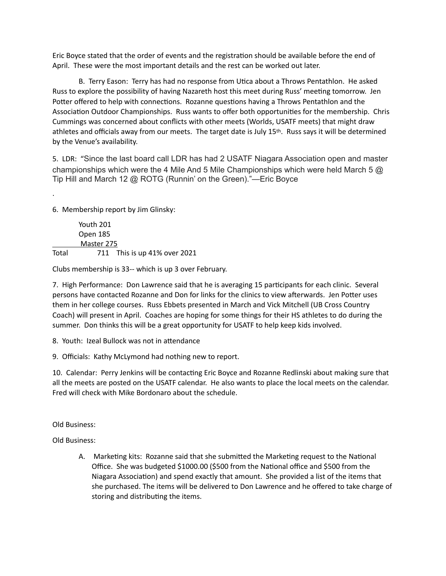Eric Boyce stated that the order of events and the registration should be available before the end of April. These were the most important details and the rest can be worked out later.

B. Terry Eason: Terry has had no response from Utica about a Throws Pentathlon. He asked Russ to explore the possibility of having Nazareth host this meet during Russ' meeting tomorrow. Jen Potter offered to help with connections. Rozanne questions having a Throws Pentathlon and the Association Outdoor Championships. Russ wants to offer both opportunities for the membership. Chris Cummings was concerned about conflicts with other meets (Worlds, USATF meets) that might draw athletes and officials away from our meets. The target date is July 15<sup>th</sup>. Russ says it will be determined by the Venue's availability.

5. LDR: "Since the last board call LDR has had 2 USATF Niagara Association open and master championships which were the 4 Mile And 5 Mile Championships which were held March 5  $\omega$ Tip Hill and March 12 @ ROTG (Runnin' on the Green)."—Eric Boyce

6. Membership report by Jim Glinsky:

.

 Youth 201 Open 185 Master 275 Total 711 This is up 41% over 2021

Clubs membership is 33-- which is up 3 over February.

7. High Performance: Don Lawrence said that he is averaging 15 participants for each clinic. Several persons have contacted Rozanne and Don for links for the clinics to view afterwards. Jen Potter uses them in her college courses. Russ Ebbets presented in March and Vick Mitchell (UB Cross Country Coach) will present in April. Coaches are hoping for some things for their HS athletes to do during the summer. Don thinks this will be a great opportunity for USATF to help keep kids involved.

8. Youth: Izeal Bullock was not in attendance

9. Officials: Kathy McLymond had nothing new to report.

10. Calendar: Perry Jenkins will be contacting Eric Boyce and Rozanne Redlinski about making sure that all the meets are posted on the USATF calendar. He also wants to place the local meets on the calendar. Fred will check with Mike Bordonaro about the schedule.

Old Business:

Old Business:

A. Marketing kits: Rozanne said that she submitted the Marketing request to the National Office. She was budgeted \$1000.00 (\$500 from the National office and \$500 from the Niagara Association) and spend exactly that amount. She provided a list of the items that she purchased. The items will be delivered to Don Lawrence and he offered to take charge of storing and distributing the items.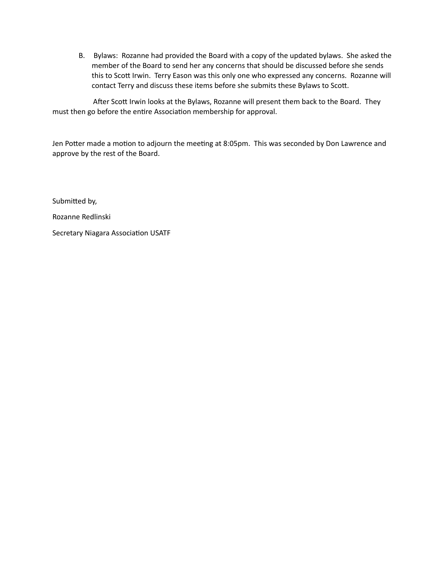B. Bylaws: Rozanne had provided the Board with a copy of the updated bylaws. She asked the member of the Board to send her any concerns that should be discussed before she sends this to Scott Irwin. Terry Eason was this only one who expressed any concerns. Rozanne will contact Terry and discuss these items before she submits these Bylaws to Scott.

After Scott Irwin looks at the Bylaws, Rozanne will present them back to the Board. They must then go before the entire Association membership for approval.

Jen Potter made a motion to adjourn the meeting at 8:05pm. This was seconded by Don Lawrence and approve by the rest of the Board.

Submitted by, Rozanne Redlinski Secretary Niagara Association USATF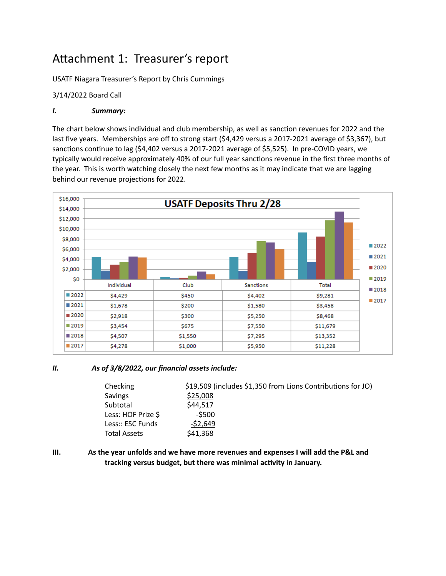# Attachment 1: Treasurer's report

USATF Niagara Treasurer's Report by Chris Cummings

## 3/14/2022 Board Call

# *I. Summary:*

The chart below shows individual and club membership, as well as sanction revenues for 2022 and the last five years. Memberships are off to strong start (\$4,429 versus a 2017-2021 average of \$3,367), but sanctions continue to lag  $(54,402$  versus a 2017-2021 average of  $$5,525$ ). In pre-COVID years, we typically would receive approximately 40% of our full year sanctions revenue in the first three months of the year. This is worth watching closely the next few months as it may indicate that we are lagging behind our revenue projections for 2022.



## *II. As of 3/8/2022, our financial assets include:*

| Checking            | \$19,509 (includes \$1,350 from Lions Contributions for JO) |
|---------------------|-------------------------------------------------------------|
| Savings             | \$25,008                                                    |
| Subtotal            | \$44,517                                                    |
| Less: HOF Prize \$  | $-5500$                                                     |
| Less:: ESC Funds    | $-52,649$                                                   |
| <b>Total Assets</b> | \$41,368                                                    |

**III. As the year unfolds and we have more revenues and expenses I will add the P&L and**  tracking versus budget, but there was minimal activity in January.